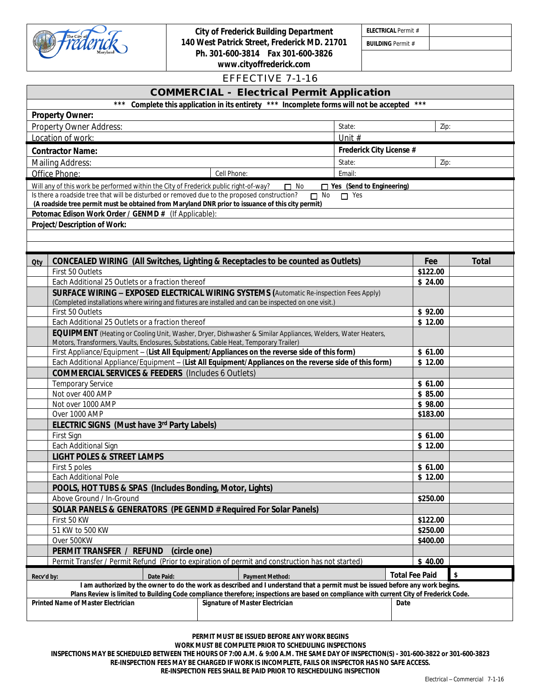

*City of Frederick Building Department 140 West Patrick Street, Frederick MD. 21701 Ph. 301-600-3814 Fax 301-600-3826 www.cityoffrederick.com*

*ELECTRICAL Permit #*

*BUILDING Permit #*

|                                                                                                                                                                                                        |              | EFFECTIVE 7-1-16                                                                                                                                                                                                                                                          |                          |              |
|--------------------------------------------------------------------------------------------------------------------------------------------------------------------------------------------------------|--------------|---------------------------------------------------------------------------------------------------------------------------------------------------------------------------------------------------------------------------------------------------------------------------|--------------------------|--------------|
|                                                                                                                                                                                                        |              | <b>COMMERCIAL - Electrical Permit Application</b>                                                                                                                                                                                                                         |                          |              |
|                                                                                                                                                                                                        |              | *** Complete this application in its entirety *** Incomplete forms will not be accepted                                                                                                                                                                                   | $***$                    |              |
| <b>Property Owner:</b>                                                                                                                                                                                 |              |                                                                                                                                                                                                                                                                           |                          |              |
| Property Owner Address:                                                                                                                                                                                |              | State:                                                                                                                                                                                                                                                                    |                          | Zip:         |
| Location of work:                                                                                                                                                                                      |              | Unit #                                                                                                                                                                                                                                                                    |                          |              |
| <b>Contractor Name:</b>                                                                                                                                                                                |              |                                                                                                                                                                                                                                                                           | Frederick City License # |              |
| Mailing Address:                                                                                                                                                                                       |              | State:                                                                                                                                                                                                                                                                    |                          | Zip:         |
| Office Phone:                                                                                                                                                                                          | Cell Phone:  | Email:                                                                                                                                                                                                                                                                    |                          |              |
| Will any of this work be performed within the City of Frederick public right-of-way?                                                                                                                   |              | □ Yes (Send to Engineering)<br>$\Box$ No                                                                                                                                                                                                                                  |                          |              |
| Is there a roadside tree that will be disturbed or removed due to the proposed construction?                                                                                                           |              | $\Box$ No<br>$\Box$ Yes                                                                                                                                                                                                                                                   |                          |              |
| (A roadside tree permit must be obtained from Maryland DNR prior to issuance of this city permit)                                                                                                      |              |                                                                                                                                                                                                                                                                           |                          |              |
| Potomac Edison Work Order / GENMD # (If Applicable):                                                                                                                                                   |              |                                                                                                                                                                                                                                                                           |                          |              |
| Project/Description of Work:                                                                                                                                                                           |              |                                                                                                                                                                                                                                                                           |                          |              |
|                                                                                                                                                                                                        |              |                                                                                                                                                                                                                                                                           |                          |              |
|                                                                                                                                                                                                        |              |                                                                                                                                                                                                                                                                           |                          |              |
| Qty                                                                                                                                                                                                    |              | <b>CONCEALED WIRING (All Switches, Lighting &amp; Receptacles to be counted as Outlets)</b>                                                                                                                                                                               | Fee                      | <b>Total</b> |
| First 50 Outlets                                                                                                                                                                                       |              |                                                                                                                                                                                                                                                                           | \$122.00                 |              |
| Each Additional 25 Outlets or a fraction thereof                                                                                                                                                       |              |                                                                                                                                                                                                                                                                           | \$24.00                  |              |
|                                                                                                                                                                                                        |              | SURFACE WIRING - EXPOSED ELECTRICAL WIRING SYSTEMS (Automatic Re-inspection Fees Apply)                                                                                                                                                                                   |                          |              |
| (Completed installations where wiring and fixtures are installed and can be inspected on one visit.)                                                                                                   |              |                                                                                                                                                                                                                                                                           |                          |              |
| First 50 Outlets                                                                                                                                                                                       |              |                                                                                                                                                                                                                                                                           | \$92.00<br>\$12.00       |              |
| Each Additional 25 Outlets or a fraction thereof                                                                                                                                                       |              |                                                                                                                                                                                                                                                                           |                          |              |
| Motors, Transformers, Vaults, Enclosures, Substations, Cable Heat, Temporary Trailer)                                                                                                                  |              | EQUIPMENT (Heating or Cooling Unit, Washer, Dryer, Dishwasher & Similar Appliances, Welders, Water Heaters,                                                                                                                                                               |                          |              |
|                                                                                                                                                                                                        |              |                                                                                                                                                                                                                                                                           | \$61.00                  |              |
| First Appliance/Equipment - (List All Equipment/Appliances on the reverse side of this form)<br>Each Additional Appliance/Equipment - (List All Equipment/Appliances on the reverse side of this form) |              |                                                                                                                                                                                                                                                                           |                          | \$12.00      |
| <b>COMMERCIAL SERVICES &amp; FEEDERS</b> (Includes 6 Outlets)                                                                                                                                          |              |                                                                                                                                                                                                                                                                           |                          |              |
| <b>Temporary Service</b>                                                                                                                                                                               |              |                                                                                                                                                                                                                                                                           | \$61.00                  |              |
| Not over 400 AMP                                                                                                                                                                                       |              |                                                                                                                                                                                                                                                                           | \$85.00                  |              |
| Not over 1000 AMP                                                                                                                                                                                      |              |                                                                                                                                                                                                                                                                           | \$98.00                  |              |
| Over 1000 AMP                                                                                                                                                                                          |              |                                                                                                                                                                                                                                                                           | \$183.00                 |              |
| ELECTRIC SIGNS (Must have 3rd Party Labels)                                                                                                                                                            |              |                                                                                                                                                                                                                                                                           |                          |              |
| First Sign                                                                                                                                                                                             |              |                                                                                                                                                                                                                                                                           | \$61.00                  |              |
| Each Additional Sign                                                                                                                                                                                   |              |                                                                                                                                                                                                                                                                           | \$12.00                  |              |
| <b>LIGHT POLES &amp; STREET LAMPS</b>                                                                                                                                                                  |              |                                                                                                                                                                                                                                                                           |                          |              |
| First 5 poles                                                                                                                                                                                          |              |                                                                                                                                                                                                                                                                           | \$61.00                  |              |
| Each Additional Pole                                                                                                                                                                                   |              |                                                                                                                                                                                                                                                                           | \$12.00                  |              |
| POOLS, HOT TUBS & SPAS (Includes Bonding, Motor, Lights)                                                                                                                                               |              |                                                                                                                                                                                                                                                                           |                          |              |
| Above Ground / In-Ground                                                                                                                                                                               |              |                                                                                                                                                                                                                                                                           | \$250.00                 |              |
| SOLAR PANELS & GENERATORS (PE GENMD # Required For Solar Panels)                                                                                                                                       |              |                                                                                                                                                                                                                                                                           |                          |              |
| First 50 KW                                                                                                                                                                                            |              |                                                                                                                                                                                                                                                                           | \$122.00                 |              |
| 51 KW to 500 KW                                                                                                                                                                                        |              |                                                                                                                                                                                                                                                                           | \$250.00                 |              |
| Over 500KW<br>PERMIT TRANSFER / REFUND                                                                                                                                                                 | (circle one) |                                                                                                                                                                                                                                                                           | \$400.00                 |              |
|                                                                                                                                                                                                        |              | Permit Transfer / Permit Refund (Prior to expiration of permit and construction has not started)                                                                                                                                                                          | \$40.00                  |              |
|                                                                                                                                                                                                        |              |                                                                                                                                                                                                                                                                           |                          |              |
| Date Paid:<br>Recv'd by:                                                                                                                                                                               |              | <b>Payment Method:</b>                                                                                                                                                                                                                                                    | <b>Total Fee Paid</b>    | \$           |
|                                                                                                                                                                                                        |              | I am authorized by the owner to do the work as described and I understand that a permit must be issued before any work begins.<br>Plans Review is limited to Building Code compliance therefore; inspections are based on compliance with current City of Frederick Code. |                          |              |
| <b>Printed Name of Master Electrician</b>                                                                                                                                                              |              | Signature of Master Electrician                                                                                                                                                                                                                                           | Date                     |              |
|                                                                                                                                                                                                        |              |                                                                                                                                                                                                                                                                           |                          |              |
|                                                                                                                                                                                                        |              |                                                                                                                                                                                                                                                                           |                          |              |

**PERMIT MUST BE ISSUED BEFORE ANY WORK BEGINS**

**WORK MUST BE COMPLETE PRIOR TO SCHEDULING INSPECTIONS**

**INSPECTIONS MAY BE SCHEDULED BETWEEN THE HOURS OF 7:00 A.M. & 9:00 A.M. THE SAME DAY OF INSPECTION(S) - 301-600-3822 or 301-600-3823 RE-INSPECTION FEES MAY BE CHARGED IF WORK IS INCOMPLETE, FAILS OR INSPECTOR HAS NO SAFE ACCESS.**

**RE-INSPECTION FEES SHALL BE PAID PRIOR TO RESCHEDULING INSPECTION**